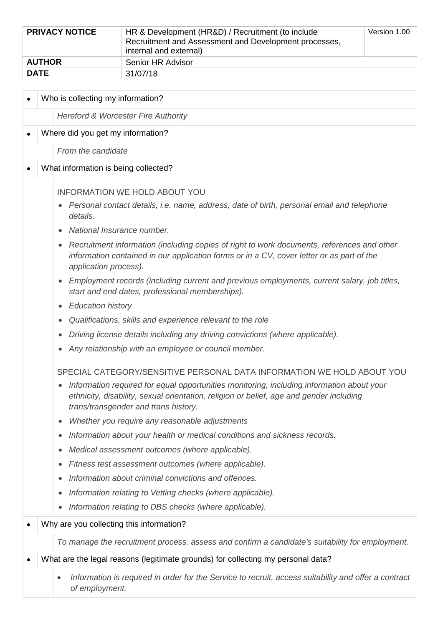| <b>PRIVACY NOTICE</b><br>HR & Development (HR&D) / Recruitment (to include<br>Recruitment and Assessment and Development processes,<br>internal and external) |                   | Version 1.00 |
|---------------------------------------------------------------------------------------------------------------------------------------------------------------|-------------------|--------------|
| <b>AUTHOR</b>                                                                                                                                                 | Senior HR Advisor |              |
| <b>DATE</b>                                                                                                                                                   | 31/07/18          |              |

|           | Who is collecting my information?                                                                                                                                                                                                         |                                                                                                                                                |  |  |  |  |
|-----------|-------------------------------------------------------------------------------------------------------------------------------------------------------------------------------------------------------------------------------------------|------------------------------------------------------------------------------------------------------------------------------------------------|--|--|--|--|
|           |                                                                                                                                                                                                                                           | Hereford & Worcester Fire Authority                                                                                                            |  |  |  |  |
| $\bullet$ |                                                                                                                                                                                                                                           | Where did you get my information?                                                                                                              |  |  |  |  |
|           |                                                                                                                                                                                                                                           | From the candidate                                                                                                                             |  |  |  |  |
|           |                                                                                                                                                                                                                                           | What information is being collected?                                                                                                           |  |  |  |  |
|           |                                                                                                                                                                                                                                           |                                                                                                                                                |  |  |  |  |
|           |                                                                                                                                                                                                                                           | <b>INFORMATION WE HOLD ABOUT YOU</b><br>Personal contact details, i.e. name, address, date of birth, personal email and telephone<br>$\bullet$ |  |  |  |  |
|           |                                                                                                                                                                                                                                           | details.                                                                                                                                       |  |  |  |  |
|           |                                                                                                                                                                                                                                           | National Insurance number.                                                                                                                     |  |  |  |  |
|           | Recruitment information (including copies of right to work documents, references and other<br>$\bullet$<br>information contained in our application forms or in a CV, cover letter or as part of the<br>application process).             |                                                                                                                                                |  |  |  |  |
|           | Employment records (including current and previous employments, current salary, job titles,<br>$\bullet$<br>start and end dates, professional memberships).                                                                               |                                                                                                                                                |  |  |  |  |
|           |                                                                                                                                                                                                                                           | <b>Education history</b><br>$\bullet$                                                                                                          |  |  |  |  |
|           | Qualifications, skills and experience relevant to the role<br>$\bullet$                                                                                                                                                                   |                                                                                                                                                |  |  |  |  |
|           | Driving license details including any driving convictions (where applicable).<br>$\bullet$                                                                                                                                                |                                                                                                                                                |  |  |  |  |
|           | Any relationship with an employee or council member.<br>$\bullet$                                                                                                                                                                         |                                                                                                                                                |  |  |  |  |
|           |                                                                                                                                                                                                                                           | SPECIAL CATEGORY/SENSITIVE PERSONAL DATA INFORMATION WE HOLD ABOUT YOU                                                                         |  |  |  |  |
|           | Information required for equal opportunities monitoring, including information about your<br>$\bullet$<br>ethnicity, disability, sexual orientation, religion or belief, age and gender including<br>trans/transgender and trans history. |                                                                                                                                                |  |  |  |  |
|           |                                                                                                                                                                                                                                           | Whether you require any reasonable adjustments<br>$\bullet$                                                                                    |  |  |  |  |
|           |                                                                                                                                                                                                                                           | Information about your health or medical conditions and sickness records.<br>$\bullet$                                                         |  |  |  |  |
|           | Medical assessment outcomes (where applicable).<br>$\bullet$                                                                                                                                                                              |                                                                                                                                                |  |  |  |  |
|           | Fitness test assessment outcomes (where applicable).<br>$\bullet$                                                                                                                                                                         |                                                                                                                                                |  |  |  |  |
|           | Information about criminal convictions and offences.<br>$\bullet$                                                                                                                                                                         |                                                                                                                                                |  |  |  |  |
|           |                                                                                                                                                                                                                                           | Information relating to Vetting checks (where applicable).<br>$\bullet$                                                                        |  |  |  |  |
|           |                                                                                                                                                                                                                                           | Information relating to DBS checks (where applicable).<br>$\bullet$                                                                            |  |  |  |  |
|           | Why are you collecting this information?                                                                                                                                                                                                  |                                                                                                                                                |  |  |  |  |
|           | To manage the recruitment process, assess and confirm a candidate's suitability for employment.                                                                                                                                           |                                                                                                                                                |  |  |  |  |
|           |                                                                                                                                                                                                                                           | What are the legal reasons (legitimate grounds) for collecting my personal data?                                                               |  |  |  |  |
|           |                                                                                                                                                                                                                                           | Information is required in order for the Service to recruit, access suitability and offer a contract<br>$\bullet$<br>of employment.            |  |  |  |  |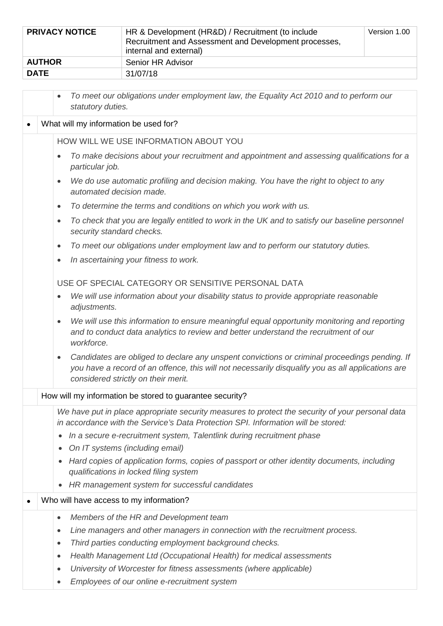| <b>PRIVACY NOTICE</b>                                                                                                                    |                                                                                                                | HR & Development (HR&D) / Recruitment (to include<br>Recruitment and Assessment and Development processes,<br>internal and external) | Version 1.00 |  |  |
|------------------------------------------------------------------------------------------------------------------------------------------|----------------------------------------------------------------------------------------------------------------|--------------------------------------------------------------------------------------------------------------------------------------|--------------|--|--|
| <b>AUTHOR</b>                                                                                                                            |                                                                                                                | Senior HR Advisor                                                                                                                    |              |  |  |
| <b>DATE</b>                                                                                                                              |                                                                                                                | 31/07/18                                                                                                                             |              |  |  |
|                                                                                                                                          | $\bullet$<br>statutory duties.                                                                                 | To meet our obligations under employment law, the Equality Act 2010 and to perform our                                               |              |  |  |
|                                                                                                                                          | What will my information be used for?                                                                          |                                                                                                                                      |              |  |  |
|                                                                                                                                          |                                                                                                                | HOW WILL WE USE INFORMATION ABOUT YOU                                                                                                |              |  |  |
|                                                                                                                                          | To make decisions about your recruitment and appointment and assessing qualifications for a<br>particular job. |                                                                                                                                      |              |  |  |
| We do use automatic profiling and decision making. You have the right to object to any<br>$\bullet$<br>automated decision made.          |                                                                                                                |                                                                                                                                      |              |  |  |
|                                                                                                                                          | $\bullet$                                                                                                      | To determine the terms and conditions on which you work with us.                                                                     |              |  |  |
| To check that you are legally entitled to work in the UK and to satisfy our baseline personnel<br>$\bullet$<br>security standard checks. |                                                                                                                |                                                                                                                                      |              |  |  |
|                                                                                                                                          | $\bullet$                                                                                                      | To meet our obligations under employment law and to perform our statutory duties.                                                    |              |  |  |
|                                                                                                                                          | $\bullet$                                                                                                      | In ascertaining your fitness to work.                                                                                                |              |  |  |
|                                                                                                                                          |                                                                                                                | USE OF SPECIAL CATEGORY OR SENSITIVE PERSONAL DATA                                                                                   |              |  |  |
|                                                                                                                                          | $\bullet$<br>adjustments.                                                                                      | We will use information about your disability status to provide appropriate reasonable                                               |              |  |  |

- *We will use this information to ensure meaningful equal opportunity monitoring and reporting and to conduct data analytics to review and better understand the recruitment of our workforce.*
- *Candidates are obliged to declare any unspent convictions or criminal proceedings pending. If you have a record of an offence, this will not necessarily disqualify you as all applications are considered strictly on their merit.*

## How will my information be stored to guarantee security?

*We have put in place appropriate security measures to protect the security of your personal data in accordance with the Service's Data Protection SPI. Information will be stored:*

- *In a secure e-recruitment system, Talentlink during recruitment phase*
- *On IT systems (including email)*
- *Hard copies of application forms, copies of passport or other identity documents, including qualifications in locked filing system*
- *HR management system for successful candidates*

## • Who will have access to my information?

- *Members of the HR and Development team*
- *Line managers and other managers in connection with the recruitment process.*
- *Third parties conducting employment background checks.*
- *Health Management Ltd (Occupational Health) for medical assessments*
- *University of Worcester for fitness assessments (where applicable)*
- *Employees of our online e-recruitment system*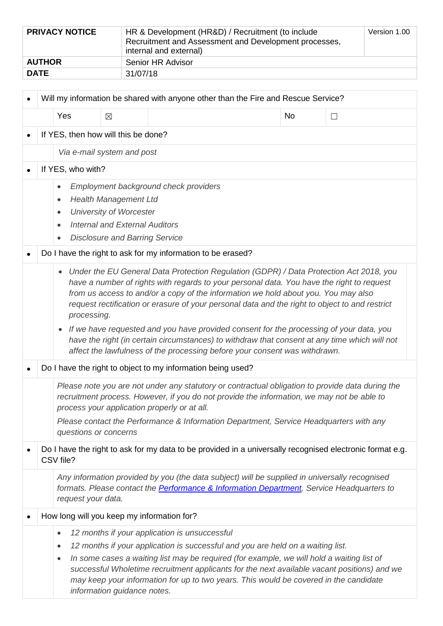| <b>PRIVACY NOTICE</b>   | HR & Development (HR&D) / Recruitment (to include<br>Recruitment and Assessment and Development processes,<br>internal and external) |  |
|-------------------------|--------------------------------------------------------------------------------------------------------------------------------------|--|
| <b>AUTHOR</b>           | Senior HR Advisor                                                                                                                    |  |
| <b>DATE</b><br>31/07/18 |                                                                                                                                      |  |

| $\bullet$ | Will my information be shared with anyone other than the Fire and Rescue Service?                                                                                                                                                                                                                                                                                                                                                                                                   |                                                                                                                                                                                                                                                                                                                                                                                                                                                                                                                                                                                                                                                                                                |             |                                                                                                                                                                                                        |  |    |        |
|-----------|-------------------------------------------------------------------------------------------------------------------------------------------------------------------------------------------------------------------------------------------------------------------------------------------------------------------------------------------------------------------------------------------------------------------------------------------------------------------------------------|------------------------------------------------------------------------------------------------------------------------------------------------------------------------------------------------------------------------------------------------------------------------------------------------------------------------------------------------------------------------------------------------------------------------------------------------------------------------------------------------------------------------------------------------------------------------------------------------------------------------------------------------------------------------------------------------|-------------|--------------------------------------------------------------------------------------------------------------------------------------------------------------------------------------------------------|--|----|--------|
|           |                                                                                                                                                                                                                                                                                                                                                                                                                                                                                     | Yes                                                                                                                                                                                                                                                                                                                                                                                                                                                                                                                                                                                                                                                                                            | $\boxtimes$ |                                                                                                                                                                                                        |  | No | $\Box$ |
|           | If YES, then how will this be done?                                                                                                                                                                                                                                                                                                                                                                                                                                                 |                                                                                                                                                                                                                                                                                                                                                                                                                                                                                                                                                                                                                                                                                                |             |                                                                                                                                                                                                        |  |    |        |
|           |                                                                                                                                                                                                                                                                                                                                                                                                                                                                                     | Via e-mail system and post                                                                                                                                                                                                                                                                                                                                                                                                                                                                                                                                                                                                                                                                     |             |                                                                                                                                                                                                        |  |    |        |
|           |                                                                                                                                                                                                                                                                                                                                                                                                                                                                                     | If YES, who with?                                                                                                                                                                                                                                                                                                                                                                                                                                                                                                                                                                                                                                                                              |             |                                                                                                                                                                                                        |  |    |        |
|           |                                                                                                                                                                                                                                                                                                                                                                                                                                                                                     | Employment background check providers<br>$\bullet$<br><b>Health Management Ltd</b><br>٠<br><b>University of Worcester</b><br>٠<br><b>Internal and External Auditors</b><br>$\bullet$<br><b>Disclosure and Barring Service</b>                                                                                                                                                                                                                                                                                                                                                                                                                                                                  |             |                                                                                                                                                                                                        |  |    |        |
| $\bullet$ |                                                                                                                                                                                                                                                                                                                                                                                                                                                                                     |                                                                                                                                                                                                                                                                                                                                                                                                                                                                                                                                                                                                                                                                                                |             | Do I have the right to ask for my information to be erased?                                                                                                                                            |  |    |        |
|           |                                                                                                                                                                                                                                                                                                                                                                                                                                                                                     | Under the EU General Data Protection Regulation (GDPR) / Data Protection Act 2018, you<br>$\bullet$<br>have a number of rights with regards to your personal data. You have the right to request<br>from us access to and/or a copy of the information we hold about you. You may also<br>request rectification or erasure of your personal data and the right to object to and restrict<br>processing.<br>If we have requested and you have provided consent for the processing of your data, you<br>$\bullet$<br>have the right (in certain circumstances) to withdraw that consent at any time which will not<br>affect the lawfulness of the processing before your consent was withdrawn. |             |                                                                                                                                                                                                        |  |    |        |
| $\bullet$ |                                                                                                                                                                                                                                                                                                                                                                                                                                                                                     | Do I have the right to object to my information being used?                                                                                                                                                                                                                                                                                                                                                                                                                                                                                                                                                                                                                                    |             |                                                                                                                                                                                                        |  |    |        |
|           | Please note you are not under any statutory or contractual obligation to provide data during the<br>recruitment process. However, if you do not provide the information, we may not be able to<br>process your application properly or at all.<br>Please contact the Performance & Information Department, Service Headquarters with any<br>questions or concerns                                                                                                                   |                                                                                                                                                                                                                                                                                                                                                                                                                                                                                                                                                                                                                                                                                                |             |                                                                                                                                                                                                        |  |    |        |
| $\bullet$ | Do I have the right to ask for my data to be provided in a universally recognised electronic format e.g.<br>CSV file?                                                                                                                                                                                                                                                                                                                                                               |                                                                                                                                                                                                                                                                                                                                                                                                                                                                                                                                                                                                                                                                                                |             |                                                                                                                                                                                                        |  |    |        |
|           |                                                                                                                                                                                                                                                                                                                                                                                                                                                                                     | request your data.                                                                                                                                                                                                                                                                                                                                                                                                                                                                                                                                                                                                                                                                             |             | Any information provided by you (the data subject) will be supplied in universally recognised<br>formats. Please contact the <b>Performance &amp; Information Department</b> , Service Headquarters to |  |    |        |
| $\bullet$ |                                                                                                                                                                                                                                                                                                                                                                                                                                                                                     |                                                                                                                                                                                                                                                                                                                                                                                                                                                                                                                                                                                                                                                                                                |             | How long will you keep my information for?                                                                                                                                                             |  |    |        |
|           | 12 months if your application is unsuccessful<br>$\bullet$<br>12 months if your application is successful and you are held on a waiting list.<br>٠<br>In some cases a waiting list may be required (for example, we will hold a waiting list of<br>$\bullet$<br>successful Wholetime recruitment applicants for the next available vacant positions) and we<br>may keep your information for up to two years. This would be covered in the candidate<br>information guidance notes. |                                                                                                                                                                                                                                                                                                                                                                                                                                                                                                                                                                                                                                                                                                |             |                                                                                                                                                                                                        |  |    |        |